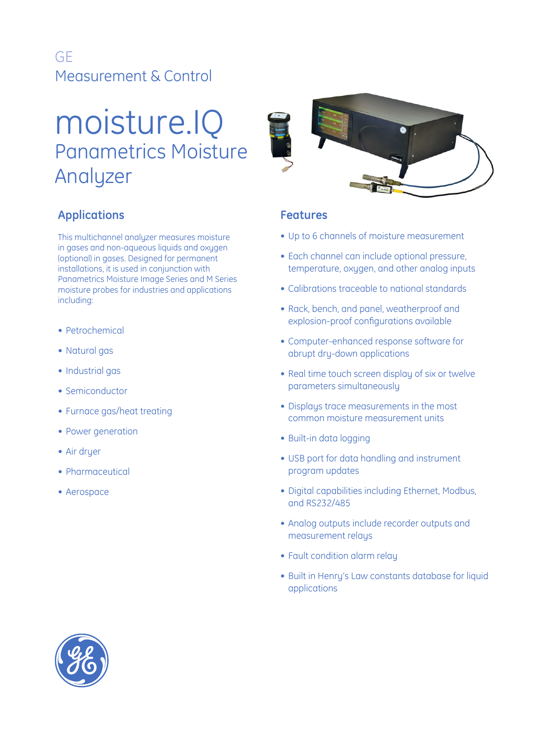## GE Measurement & Control

# moisture.IQ Panametrics Moisture Analyzer



## **Applications**

This multichannel analyzer measures moisture in gases and non-aqueous liquids and oxygen (optional) in gases. Designed for permanent installations, it is used in conjunction with Panametrics Moisture Image Series and M Series moisture probes for industries and applications including:

- Petrochemical
- • Natural gas
- Industrial gas
- Semiconductor
- Furnace gas/heat treating
- Power generation
- Air dryer
- Pharmaceutical
- Aerospace

### **Features**

- Up to 6 channels of moisture measurement
- Each channel can include optional pressure, temperature, oxygen, and other analog inputs
- Calibrations traceable to national standards
- Rack, bench, and panel, weatherproof and explosion-proof configurations available
- • Computer-enhanced response software for abrupt dry-down applications
- Real time touch screen display of six or twelve parameters simultaneously
- Displays trace measurements in the most common moisture measurement units
- Built-in data logging
- USB port for data handling and instrument program updates
- Digital capabilities including Ethernet, Modbus, and RS232/485
- Analog outputs include recorder outputs and measurement relays
- Fault condition alarm relay
- Built in Henry's Law constants database for liquid applications

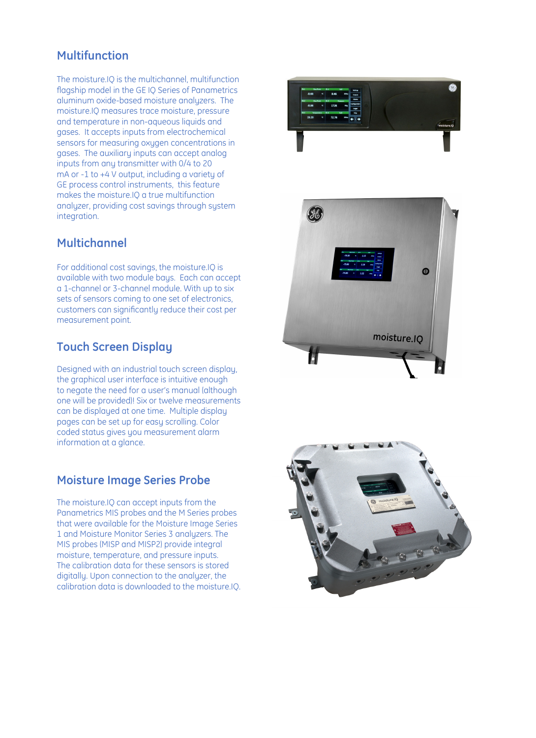## **Multifunction**

The moisture.IQ is the multichannel, multifunction flagship model in the GE IQ Series of Panametrics aluminum oxide-based moisture analyzers. The moisture.IQ measures trace moisture, pressure and temperature in non-aqueous liquids and gases. It accepts inputs from electrochemical sensors for measuring oxygen concentrations in gases. The auxiliary inputs can accept analog inputs from any transmitter with 0/4 to 20 mA or -1 to +4 V output, including a variety of GE process control instruments, this feature makes the moisture.IQ a true multifunction analyzer, providing cost savings through system integration.

## **Multichannel**

For additional cost savings, the moisture.IQ is available with two module bays. Each can accept a 1-channel or 3-channel module. With up to six sets of sensors coming to one set of electronics, customers can significantly reduce their cost per measurement point.

## **Touch Screen Display**

Designed with an industrial touch screen display, the graphical user interface is intuitive enough to negate the need for a user's manual (although one will be provided)! Six or twelve measurements can be displayed at one time. Multiple display pages can be set up for easy scrolling. Color coded status gives you measurement alarm information at a glance.

## **Moisture Image Series Probe**

The moisture.IQ can accept inputs from the Panametrics MIS probes and the M Series probes that were available for the Moisture Image Series 1 and Moisture Monitor Series 3 analyzers. The MIS probes (MISP and MISP2) provide integral moisture, temperature, and pressure inputs. The calibration data for these sensors is stored digitally. Upon connection to the analyzer, the calibration data is downloaded to the moisture.IQ.





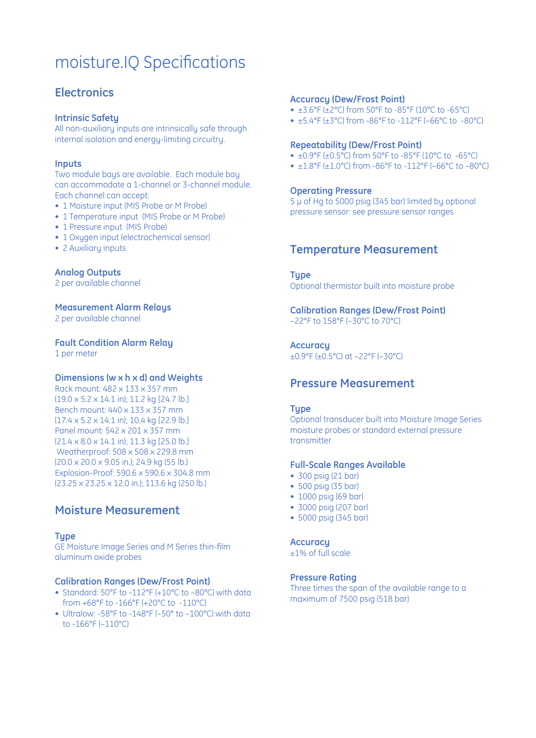## moisture.IQ Specifications

## **Electronics**

#### **Intrinsic Safety**

All non-auxiliary inputs are intrinsically safe through internal isolation and energy-limiting circuitry.

#### **Inputs**

Two module bays are available. Each module bay can accommodate a 1-channel or 3-channel module. Each channel can accept:

- 1 Moisture input (MIS Probe or M Probe)
- 1 Temperature input (MIS Probe or M Probe)
- 1 Pressure input (MIS Probe)
- 1 Oxygen input (electrochemical sensor)
- 2 Auxiliary inputs

#### **Analog Outputs**

2 per available channel

#### **Measurement Alarm Relays**

2 per available channel

#### **Fault Condition Alarm Relay**

1 per meter

#### **Dimensions (w x h x d) and Weights**

Rack mount: 482 x 133 x 357 mm (19.0 x 5.2 x 14.1 in); 11.2 kg [24.7 lb.] Bench mount: 440 x 133 x 357 mm (17.4 x 5.2 x 14.1 in); 10.4 kg [22.9 lb.] Panel mount: 542 x 201 x 357 mm (21.4 x 8.0 x 14.1 in); 11.3 kg [25.0 lb.] Weatherproof: 508 x 508 x 229.8 mm (20.0 x 20.0 x 9.05 in.); 24.9 kg (55 lb.) Explosion-Proof: 590.6 x 590.6 x 304.8 mm (23.25 x 23.25 x 12.0 in.); 113.6 kg (250 lb.)

## **Moisture Measurement**

#### **Type**

GE Moisture Image Series and M Series thin-film aluminum oxide probes

#### **Calibration Ranges (Dew/Frost Point)**

- Standard: 50°F to -112°F (+10°C to -80°C) with data from +68°F to -166°F (+20°C to -110°C)
- Ultralow: -58°F to -148°F (-50° to -100°C) with data to -166°F (–110°C)

#### **Accuracy (Dew/Frost Point)**

- $\pm$ 3.6°F ( $\pm$ 2°C) from 50°F to -85°F (10°C to -65°C)
- $+5.4$ °F ( $+3$ °C) from  $-86$ °F to  $-112$ °F ( $-66$ °C to  $-80$ °C)

#### **Repeatability (Dew/Frost Point)**

- $\pm 0.9^{\circ}$ F ( $\pm 0.5^{\circ}$ C) from 50°F to -85°F (10°C to -65°C)
- $\pm 1.8$ °F ( $\pm 1.0$ °C) from -86°F to -112°F (-66°C to -80°C)

#### **Operating Pressure**

5 μ of Hg to 5000 psig (345 bar) limited by optional pressure sensor: see pressure sensor ranges

## **Temperature Measurement**

**Type**

Optional thermistor built into moisture probe

## **Calibration Ranges (Dew/Frost Point)**

–22°F to 158°F (–30°C to 70°C)

#### **Accuracy** ±0.9°F (±0.5°C) at –22°F (–30°C)

## **Pressure Measurement**

#### **Type**

Optional transducer built into Moisture Image Series moisture probes or standard external pressure transmitter

#### **Full-Scale Ranges Available**

- 300 psig (21 bar)
- 500 psig (35 bar)
- 1000 psig (69 bar)
- 3000 psig (207 bar)
- 5000 psig (345 bar)

#### **Accuracy**

±1% of full scale

#### **Pressure Rating**

Three times the span of the available range to a maximum of 7500 psig (518 bar)